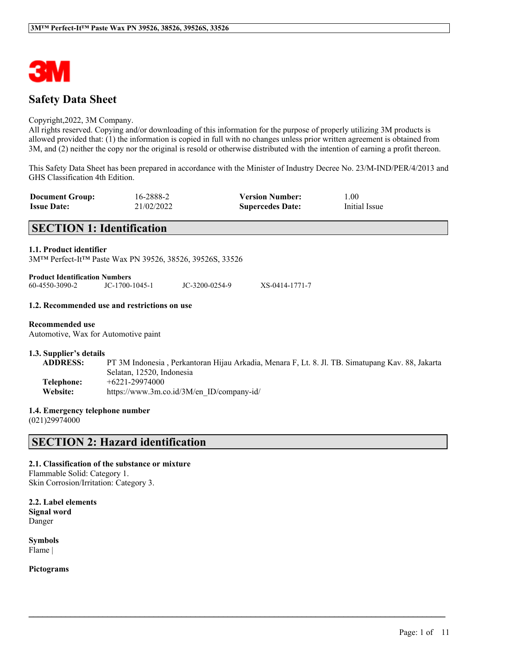

# **Safety Data Sheet**

#### Copyright,2022, 3M Company.

All rights reserved. Copying and/or downloading of this information for the purpose of properly utilizing 3M products is allowed provided that: (1) the information is copied in full with no changes unless prior written agreement is obtained from 3M, and (2) neither the copy nor the original is resold or otherwise distributed with the intention of earning a profit thereon.

This Safety Data Sheet has been prepared in accordance with the Minister of Industry Decree No. 23/M-IND/PER/4/2013 and GHS Classification 4th Edition.

| <b>Document Group:</b> | 16-2888-2  | <b>Version Number:</b>  | L.00          |
|------------------------|------------|-------------------------|---------------|
| <b>Issue Date:</b>     | 21/02/2022 | <b>Supercedes Date:</b> | Initial Issue |

# **SECTION 1: Identification**

#### **1.1. Product identifier**

3M™ Perfect-It™ Paste Wax PN 39526, 38526, 39526S, 33526

| Product Identification Numbers |                |                |                |
|--------------------------------|----------------|----------------|----------------|
| 60-4550-3090-2                 | JC-1700-1045-1 | JC-3200-0254-9 | XS-0414-1771-7 |

#### **1.2. Recommended use and restrictions on use**

## **Recommended use**

Automotive, Wax for Automotive paint

#### **1.3. Supplier's details**

**ADDRESS:** PT 3M Indonesia , Perkantoran Hijau Arkadia, Menara F, Lt. 8. Jl. TB. Simatupang Kav. 88, Jakarta Selatan, 12520, Indonesia **Telephone:** +6221-29974000 **Website:** https://www.3m.co.id/3M/en\_ID/company-id/

 $\mathcal{L}_\mathcal{L} = \mathcal{L}_\mathcal{L} = \mathcal{L}_\mathcal{L} = \mathcal{L}_\mathcal{L} = \mathcal{L}_\mathcal{L} = \mathcal{L}_\mathcal{L} = \mathcal{L}_\mathcal{L} = \mathcal{L}_\mathcal{L} = \mathcal{L}_\mathcal{L} = \mathcal{L}_\mathcal{L} = \mathcal{L}_\mathcal{L} = \mathcal{L}_\mathcal{L} = \mathcal{L}_\mathcal{L} = \mathcal{L}_\mathcal{L} = \mathcal{L}_\mathcal{L} = \mathcal{L}_\mathcal{L} = \mathcal{L}_\mathcal{L}$ 

#### **1.4. Emergency telephone number**

(021)29974000

# **SECTION 2: Hazard identification**

#### **2.1. Classification of the substance or mixture**

Flammable Solid: Category 1. Skin Corrosion/Irritation: Category 3.

**2.2. Label elements Signal word** Danger

**Symbols** Flame |

**Pictograms**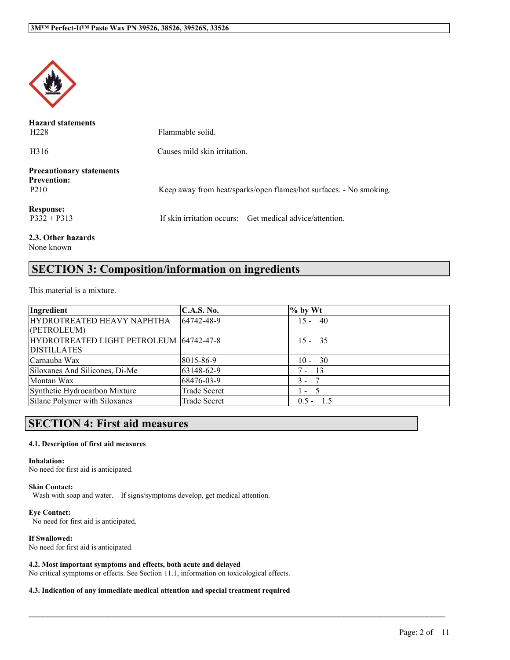

| <b>Hazard statements</b><br>H <sub>228</sub>                              | Flammable solid.                                                   |
|---------------------------------------------------------------------------|--------------------------------------------------------------------|
| H <sub>316</sub>                                                          | Causes mild skin irritation.                                       |
| <b>Precautionary statements</b><br><b>Prevention:</b><br>P <sub>210</sub> | Keep away from heat/sparks/open flames/hot surfaces. - No smoking. |
| <b>Response:</b><br>$P332 + P313$                                         | If skin irritation occurs: Get medical advice/attention.           |
| 2.3. Other hazards                                                        |                                                                    |

None known

# **SECTION 3: Composition/information on ingredients**

This material is a mixture.

| Ingredient                              | <b>C.A.S. No.</b>   | $\%$ by Wt     |  |
|-----------------------------------------|---------------------|----------------|--|
| HYDROTREATED HEAVY NAPHTHA              | 64742-48-9          | $15 - 40$      |  |
| (PETROLEUM)                             |                     |                |  |
| HYDROTREATED LIGHT PETROLEUM 64742-47-8 |                     | $15 - 35$      |  |
| <b>DISTILLATES</b>                      |                     |                |  |
| Carnauba Wax                            | 8015-86-9           | $10 - 30$      |  |
| Siloxanes And Silicones, Di-Me          | 63148-62-9          | 13<br>7 -      |  |
| Montan Wax                              | 68476-03-9          | $3 -$          |  |
| Synthetic Hydrocarbon Mixture           | <b>Trade Secret</b> | $\mathbf{I}$   |  |
| Silane Polymer with Siloxanes           | <b>Trade Secret</b> | 1.5<br>$0.5 -$ |  |

 $\mathcal{L}_\mathcal{L} = \mathcal{L}_\mathcal{L} = \mathcal{L}_\mathcal{L} = \mathcal{L}_\mathcal{L} = \mathcal{L}_\mathcal{L} = \mathcal{L}_\mathcal{L} = \mathcal{L}_\mathcal{L} = \mathcal{L}_\mathcal{L} = \mathcal{L}_\mathcal{L} = \mathcal{L}_\mathcal{L} = \mathcal{L}_\mathcal{L} = \mathcal{L}_\mathcal{L} = \mathcal{L}_\mathcal{L} = \mathcal{L}_\mathcal{L} = \mathcal{L}_\mathcal{L} = \mathcal{L}_\mathcal{L} = \mathcal{L}_\mathcal{L}$ 

# **SECTION 4: First aid measures**

#### **4.1. Description of first aid measures**

#### **Inhalation:**

No need for first aid is anticipated.

#### **Skin Contact:**

Wash with soap and water. If signs/symptoms develop, get medical attention.

# **Eye Contact:**

No need for first aid is anticipated.

#### **If Swallowed:**

No need for first aid is anticipated.

#### **4.2. Most important symptoms and effects, both acute and delayed**

No critical symptoms or effects. See Section 11.1, information on toxicological effects.

#### **4.3. Indication of any immediate medical attention and special treatment required**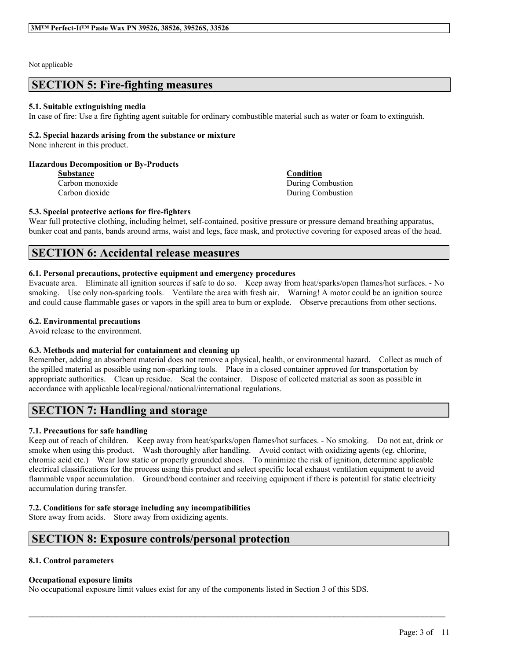#### Not applicable

# **SECTION 5: Fire-fighting measures**

#### **5.1. Suitable extinguishing media**

In case of fire: Use a fire fighting agent suitable for ordinary combustible material such as water or foam to extinguish.

## **5.2. Special hazards arising from the substance or mixture**

None inherent in this product.

#### **Hazardous Decomposition or By-Products**

**Substance Condition**

Carbon monoxide During Combustion Carbon dioxide During Combustion

#### **5.3. Special protective actions for fire-fighters**

Wear full protective clothing, including helmet, self-contained, positive pressure or pressure demand breathing apparatus, bunker coat and pants, bands around arms, waist and legs, face mask, and protective covering for exposed areas of the head.

# **SECTION 6: Accidental release measures**

#### **6.1. Personal precautions, protective equipment and emergency procedures**

Evacuate area. Eliminate all ignition sources if safe to do so. Keep away from heat/sparks/open flames/hot surfaces. - No smoking. Use only non-sparking tools. Ventilate the area with fresh air. Warning! A motor could be an ignition source and could cause flammable gases or vapors in the spill area to burn or explode. Observe precautions from other sections.

### **6.2. Environmental precautions**

Avoid release to the environment.

#### **6.3. Methods and material for containment and cleaning up**

Remember, adding an absorbent material does not remove a physical, health, or environmental hazard. Collect as much of the spilled material as possible using non-sparking tools. Place in a closed container approved for transportation by appropriate authorities. Clean up residue. Seal the container. Dispose of collected material as soon as possible in accordance with applicable local/regional/national/international regulations.

# **SECTION 7: Handling and storage**

# **7.1. Precautions for safe handling**

Keep out of reach of children. Keep away from heat/sparks/open flames/hot surfaces. - No smoking. Do not eat, drink or smoke when using this product. Wash thoroughly after handling. Avoid contact with oxidizing agents (eg. chlorine, chromic acid etc.) Wear low static or properly grounded shoes. To minimize the risk of ignition, determine applicable electrical classifications for the process using this product and select specific local exhaust ventilation equipment to avoid flammable vapor accumulation. Ground/bond container and receiving equipment if there is potential for static electricity accumulation during transfer.

 $\mathcal{L}_\mathcal{L} = \mathcal{L}_\mathcal{L} = \mathcal{L}_\mathcal{L} = \mathcal{L}_\mathcal{L} = \mathcal{L}_\mathcal{L} = \mathcal{L}_\mathcal{L} = \mathcal{L}_\mathcal{L} = \mathcal{L}_\mathcal{L} = \mathcal{L}_\mathcal{L} = \mathcal{L}_\mathcal{L} = \mathcal{L}_\mathcal{L} = \mathcal{L}_\mathcal{L} = \mathcal{L}_\mathcal{L} = \mathcal{L}_\mathcal{L} = \mathcal{L}_\mathcal{L} = \mathcal{L}_\mathcal{L} = \mathcal{L}_\mathcal{L}$ 

#### **7.2. Conditions for safe storage including any incompatibilities**

Store away from acids. Store away from oxidizing agents.

# **SECTION 8: Exposure controls/personal protection**

#### **8.1. Control parameters**

#### **Occupational exposure limits**

No occupational exposure limit values exist for any of the components listed in Section 3 of this SDS.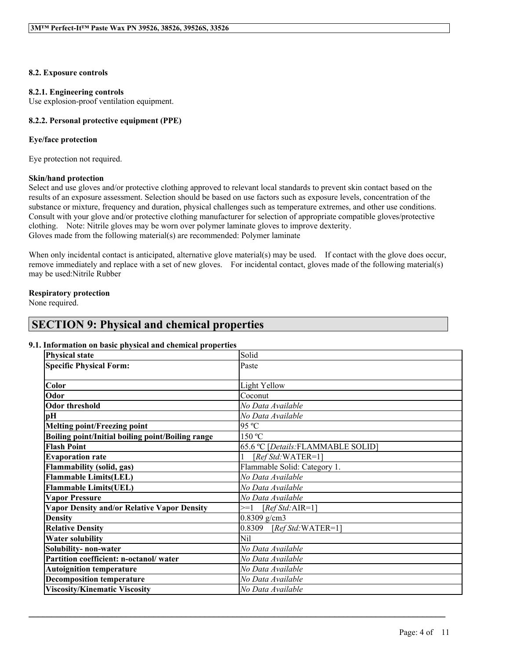## **8.2. Exposure controls**

#### **8.2.1. Engineering controls**

Use explosion-proof ventilation equipment.

# **8.2.2. Personal protective equipment (PPE)**

### **Eye/face protection**

Eye protection not required.

### **Skin/hand protection**

Select and use gloves and/or protective clothing approved to relevant local standards to prevent skin contact based on the results of an exposure assessment. Selection should be based on use factors such as exposure levels, concentration of the substance or mixture, frequency and duration, physical challenges such as temperature extremes, and other use conditions. Consult with your glove and/or protective clothing manufacturer for selection of appropriate compatible gloves/protective clothing. Note: Nitrile gloves may be worn over polymer laminate gloves to improve dexterity. Gloves made from the following material(s) are recommended: Polymer laminate

When only incidental contact is anticipated, alternative glove material(s) may be used. If contact with the glove does occur, remove immediately and replace with a set of new gloves. For incidental contact, gloves made of the following material(s) may be used:Nitrile Rubber

# **Respiratory protection**

None required.

# **SECTION 9: Physical and chemical properties**

# **9.1. Information on basic physical and chemical properties**

| <b>Physical state</b>                                            | Solid                              |  |  |
|------------------------------------------------------------------|------------------------------------|--|--|
| <b>Specific Physical Form:</b>                                   | Paste                              |  |  |
|                                                                  |                                    |  |  |
| Color                                                            | Light Yellow                       |  |  |
| Odor                                                             | Coconut                            |  |  |
| <b>Odor threshold</b>                                            | No Data Available                  |  |  |
| pН                                                               | No Data Available                  |  |  |
| <b>Melting point/Freezing point</b>                              | 95 °C                              |  |  |
| Boiling point/Initial boiling point/Boiling range                | 150 °C                             |  |  |
| <b>Flash Point</b>                                               | 65.6 °C [Details: FLAMMABLE SOLID] |  |  |
| <b>Evaporation rate</b>                                          | [ $RefStd$ : WATER=1]              |  |  |
| Flammable Solid: Category 1.<br><b>Flammability (solid, gas)</b> |                                    |  |  |
| <b>Flammable Limits(LEL)</b><br>No Data Available                |                                    |  |  |
| <b>Flammable Limits(UEL)</b><br>No Data Available                |                                    |  |  |
| <b>Vapor Pressure</b><br>No Data Available                       |                                    |  |  |
| <b>Vapor Density and/or Relative Vapor Density</b>               | $>=1$ [Ref Std:AIR=1]              |  |  |
| <b>Density</b>                                                   | $0.8309$ g/cm3                     |  |  |
| <b>Relative Density</b>                                          | 0.8309<br>$[RefStd:WATER=1]$       |  |  |
| <b>Water solubility</b>                                          | Nil                                |  |  |
| Solubility- non-water                                            | No Data Available                  |  |  |
| Partition coefficient: n-octanol/water                           | No Data Available                  |  |  |
| <b>Autoignition temperature</b>                                  | No Data Available                  |  |  |
| <b>Decomposition temperature</b><br>No Data Available            |                                    |  |  |
| <b>Viscosity/Kinematic Viscosity</b>                             | No Data Available                  |  |  |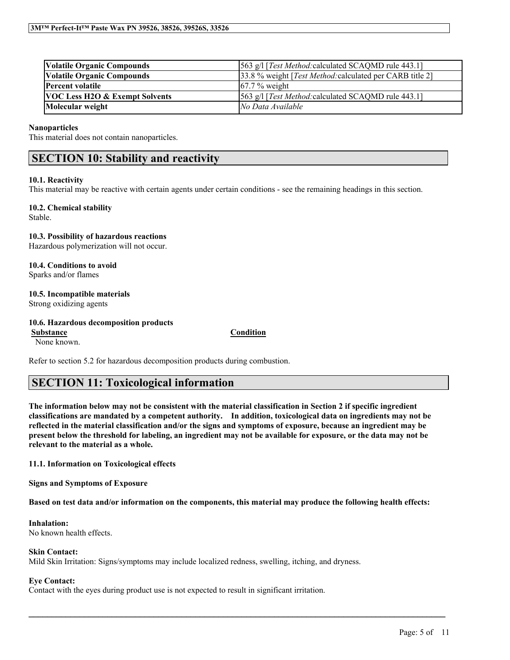| <b>Volatile Organic Compounds</b>         | [563 g/l [ <i>Test Method:</i> calculated SCAQMD rule 443.1]      |
|-------------------------------------------|-------------------------------------------------------------------|
| <b>Volatile Organic Compounds</b>         | [33.8 % weight [ <i>Test Method:calculated per CARB title 2</i> ] |
| <b>Percent volatile</b>                   | $67.7\%$ weight                                                   |
| <b>VOC Less H2O &amp; Exempt Solvents</b> | [563 g/l [Test Method: calculated SCAQMD rule 443.1]              |
| Molecular weight                          | No Data Available                                                 |

#### **Nanoparticles**

This material does not contain nanoparticles.

# **SECTION 10: Stability and reactivity**

#### **10.1. Reactivity**

This material may be reactive with certain agents under certain conditions - see the remaining headings in this section.

### **10.2. Chemical stability**

Stable.

### **10.3. Possibility of hazardous reactions**

Hazardous polymerization will not occur.

**10.4. Conditions to avoid** Sparks and/or flames

### **10.5. Incompatible materials**

Strong oxidizing agents

#### **10.6. Hazardous decomposition products**

**Substance Condition**

None known.

Refer to section 5.2 for hazardous decomposition products during combustion.

# **SECTION 11: Toxicological information**

The information below may not be consistent with the material classification in Section 2 if specific ingredient **classifications are mandated by a competent authority. In addition, toxicological data on ingredients may not be** reflected in the material classification and/or the signs and symptoms of exposure, because an ingredient may be present below the threshold for labeling, an ingredient may not be available for exposure, or the data may not be **relevant to the material as a whole.**

**11.1. Information on Toxicological effects**

**Signs and Symptoms of Exposure**

Based on test data and/or information on the components, this material may produce the following health effects:

 $\mathcal{L}_\mathcal{L} = \mathcal{L}_\mathcal{L} = \mathcal{L}_\mathcal{L} = \mathcal{L}_\mathcal{L} = \mathcal{L}_\mathcal{L} = \mathcal{L}_\mathcal{L} = \mathcal{L}_\mathcal{L} = \mathcal{L}_\mathcal{L} = \mathcal{L}_\mathcal{L} = \mathcal{L}_\mathcal{L} = \mathcal{L}_\mathcal{L} = \mathcal{L}_\mathcal{L} = \mathcal{L}_\mathcal{L} = \mathcal{L}_\mathcal{L} = \mathcal{L}_\mathcal{L} = \mathcal{L}_\mathcal{L} = \mathcal{L}_\mathcal{L}$ 

#### **Inhalation:**

No known health effects.

#### **Skin Contact:**

Mild Skin Irritation: Signs/symptoms may include localized redness, swelling, itching, and dryness.

# **Eye Contact:**

Contact with the eyes during product use is not expected to result in significant irritation.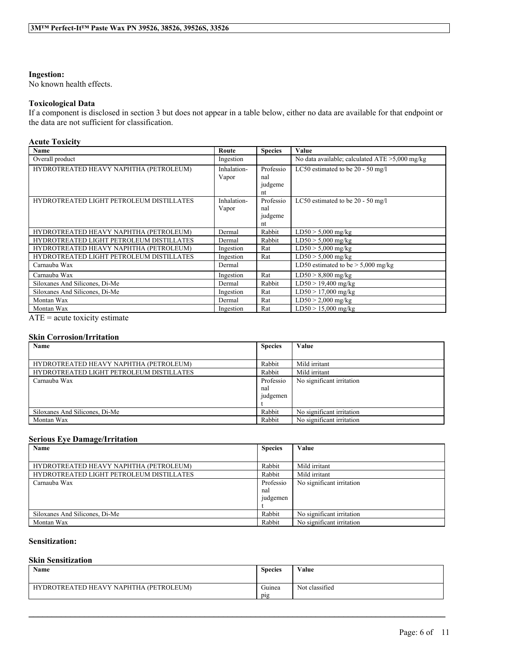## **Ingestion:**

No known health effects.

### **Toxicological Data**

If a component is disclosed in section 3 but does not appear in a table below, either no data are available for that endpoint or the data are not sufficient for classification.

# **Acute Toxicity**

| Name                                     | Route       | <b>Species</b> | Value                                             |
|------------------------------------------|-------------|----------------|---------------------------------------------------|
| Overall product                          | Ingestion   |                | No data available; calculated $ATE > 5,000$ mg/kg |
| HYDROTREATED HEAVY NAPHTHA (PETROLEUM)   | Inhalation- | Professio      | LC50 estimated to be $20 - 50$ mg/l               |
|                                          | Vapor       | nal            |                                                   |
|                                          |             | judgeme        |                                                   |
|                                          |             | nt             |                                                   |
| HYDROTREATED LIGHT PETROLEUM DISTILLATES | Inhalation- | Professio      | LC50 estimated to be $20 - 50$ mg/l               |
|                                          | Vapor       | nal            |                                                   |
|                                          |             | judgeme        |                                                   |
|                                          |             | nt             |                                                   |
| HYDROTREATED HEAVY NAPHTHA (PETROLEUM)   | Dermal      | Rabbit         | $LD50 > 5,000$ mg/kg                              |
| HYDROTREATED LIGHT PETROLEUM DISTILLATES | Dermal      | Rabbit         | $LD50 > 5,000$ mg/kg                              |
| HYDROTREATED HEAVY NAPHTHA (PETROLEUM)   | Ingestion   | Rat            | $LD50 > 5,000$ mg/kg                              |
| HYDROTREATED LIGHT PETROLEUM DISTILLATES | Ingestion   | Rat            | $LD50 > 5,000$ mg/kg                              |
| Carnauba Wax                             | Dermal      |                | LD50 estimated to be $> 5,000$ mg/kg              |
| Carnauba Wax                             | Ingestion   | Rat            | $LD50 > 8,800$ mg/kg                              |
| Siloxanes And Silicones, Di-Me           | Dermal      | Rabbit         | $LD50 > 19,400$ mg/kg                             |
| Siloxanes And Silicones, Di-Me           | Ingestion   | Rat            | $LD50 > 17,000$ mg/kg                             |
| Montan Wax                               | Dermal      | Rat            | $LD50 > 2,000$ mg/kg                              |
| Montan Wax                               | Ingestion   | Rat            | $LD50 > 15,000$ mg/kg                             |

 $ATE = acute$  toxicity estimate

### **Skin Corrosion/Irritation**

| Name                                     | <b>Species</b> | Value                     |
|------------------------------------------|----------------|---------------------------|
|                                          |                |                           |
| HYDROTREATED HEAVY NAPHTHA (PETROLEUM)   | Rabbit         | Mild irritant             |
| HYDROTREATED LIGHT PETROLEUM DISTILLATES | Rabbit         | Mild irritant             |
| Carnauba Wax                             | Professio      | No significant irritation |
|                                          | nal            |                           |
|                                          | judgemen       |                           |
|                                          |                |                           |
| Siloxanes And Silicones, Di-Me           | Rabbit         | No significant irritation |
| Montan Wax                               | Rabbit         | No significant irritation |

### **Serious Eye Damage/Irritation**

| Name                                     | <b>Species</b> | Value                     |
|------------------------------------------|----------------|---------------------------|
|                                          |                |                           |
| HYDROTREATED HEAVY NAPHTHA (PETROLEUM)   | Rabbit         | Mild irritant             |
| HYDROTREATED LIGHT PETROLEUM DISTILLATES | Rabbit         | Mild irritant             |
| Carnauba Wax                             | Professio      | No significant irritation |
|                                          | nal            |                           |
|                                          | judgemen       |                           |
|                                          |                |                           |
| Siloxanes And Silicones, Di-Me           | Rabbit         | No significant irritation |
| Montan Wax                               | Rabbit         | No significant irritation |

# **Sensitization:**

# **Skin Sensitization**

| <b>Name</b>                            | <b>Species</b> | Value          |
|----------------------------------------|----------------|----------------|
| HYDROTREATED HEAVY NAPHTHA (PETROLEUM) | Guinea<br>pig  | Not classified |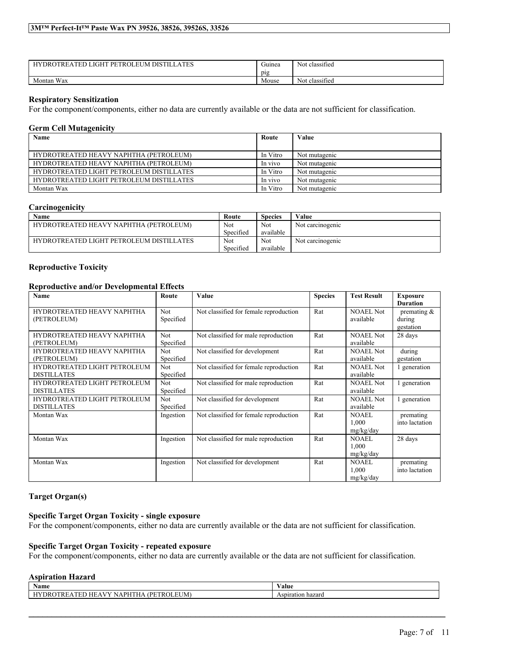| ' PETROLEUM DISTILL <i>A</i><br>LIGHT<br><b>ATES</b><br><b>HYDROTREATED L</b> | $\tilde{\phantom{a}}$<br>Guinea<br>D12 | $\sim$ $\sim$<br>Not classified  |
|-------------------------------------------------------------------------------|----------------------------------------|----------------------------------|
| Wax<br>Montan                                                                 | Mouse                                  | $\cdot$ $\sim$<br>Not classified |

### **Respiratory Sensitization**

For the component/components, either no data are currently available or the data are not sufficient for classification.

# **Germ Cell Mutagenicity**

| Name                                            | Route    | Value         |
|-------------------------------------------------|----------|---------------|
|                                                 |          |               |
| HYDROTREATED HEAVY NAPHTHA (PETROLEUM)          | In Vitro | Not mutagenic |
| HYDROTREATED HEAVY NAPHTHA (PETROLEUM)          | In vivo  | Not mutagenic |
| <b>HYDROTREATED LIGHT PETROLEUM DISTILLATES</b> | In Vitro | Not mutagenic |
| <b>HYDROTREATED LIGHT PETROLEUM DISTILLATES</b> | In vivo  | Not mutagenic |
| Montan Wax                                      | In Vitro | Not mutagenic |

### **Carcinogenicity**

| Name                                     | Route     | Species   | Value            |
|------------------------------------------|-----------|-----------|------------------|
| HYDROTREATED HEAVY NAPHTHA (PETROLEUM)   | Not       | Not       | Not carcinogenic |
|                                          | Specified | available |                  |
| HYDROTREATED LIGHT PETROLEUM DISTILLATES | Not       | Not.      | Not carcinogenic |
|                                          | Specified | available |                  |

### **Reproductive Toxicity**

### **Reproductive and/or Developmental Effects**

| Name                                      | Route                   | Value                                  | <b>Species</b> | <b>Test Result</b>            | <b>Exposure</b>                   |
|-------------------------------------------|-------------------------|----------------------------------------|----------------|-------------------------------|-----------------------------------|
| HYDROTREATED HEAVY NAPHTHA                | Not                     | Not classified for female reproduction | Rat            | <b>NOAEL Not</b><br>available | <b>Duration</b><br>premating $\&$ |
| (PETROLEUM)                               | Specified               |                                        |                |                               | during<br>gestation               |
| HYDROTREATED HEAVY NAPHTHA                | Not                     | Not classified for male reproduction   | Rat            | <b>NOAEL Not</b><br>available | 28 days                           |
| (PETROLEUM)<br>HYDROTREATED HEAVY NAPHTHA | Specified<br><b>Not</b> | Not classified for development         | Rat            | <b>NOAEL Not</b>              | during                            |
| (PETROLEUM)                               | Specified               |                                        |                | available                     | gestation                         |
| HYDROTREATED LIGHT PETROLEUM              | Not                     | Not classified for female reproduction | Rat            | <b>NOAEL Not</b>              | generation                        |
| <b>DISTILLATES</b>                        | Specified               |                                        |                | available                     |                                   |
| HYDROTREATED LIGHT PETROLEUM              | Not                     | Not classified for male reproduction   | Rat            | <b>NOAEL Not</b>              | 1 generation                      |
| <b>DISTILLATES</b>                        | Specified               |                                        |                | available                     |                                   |
| HYDROTREATED LIGHT PETROLEUM              | Not                     | Not classified for development         | Rat            | <b>NOAEL Not</b>              | 1 generation                      |
| <b>DISTILLATES</b>                        | Specified               |                                        |                | available                     |                                   |
| Montan Wax                                | Ingestion               | Not classified for female reproduction | Rat            | <b>NOAEL</b>                  | premating                         |
|                                           |                         |                                        |                | 1,000                         | into lactation                    |
|                                           |                         |                                        |                | mg/kg/day                     |                                   |
| Montan Wax                                | Ingestion               | Not classified for male reproduction   | Rat            | <b>NOAEL</b>                  | 28 days                           |
|                                           |                         |                                        |                | 1,000                         |                                   |
|                                           |                         |                                        |                | mg/kg/day                     |                                   |
| Montan Wax                                | Ingestion               | Not classified for development         | Rat            | <b>NOAEL</b>                  | premating                         |
|                                           |                         |                                        |                | 1,000                         | into lactation                    |
|                                           |                         |                                        |                | mg/kg/day                     |                                   |

## **Target Organ(s)**

## **Specific Target Organ Toxicity - single exposure**

For the component/components, either no data are currently available or the data are not sufficient for classification.

## **Specific Target Organ Toxicity - repeated exposure**

For the component/components, either no data are currently available or the data are not sufficient for classification.

# **Aspiration Hazard**

| hazaro h |
|----------|
|          |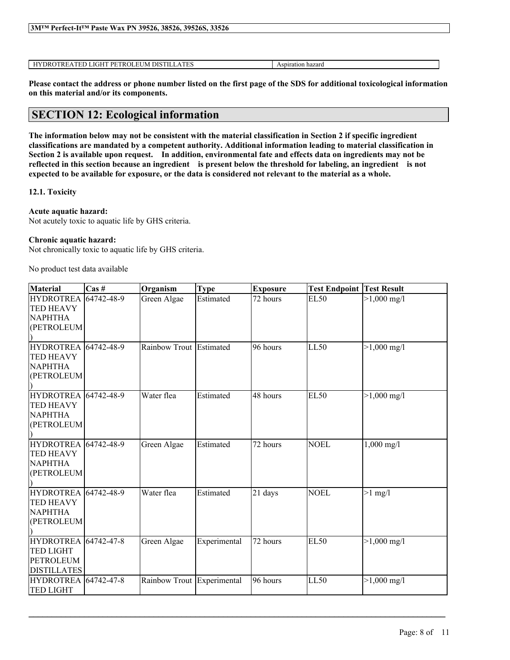| 3MTM Perfect-It <sup>TM</sup> Paste Wax PN 39526, 38526, 39526S, 33526 |  |
|------------------------------------------------------------------------|--|
|                                                                        |  |

HYDROTREATED LIGHT PETROLEUM DISTILLATES Aspiration hazard

Please contact the address or phone number listed on the first page of the SDS for additional toxicological information **on this material and/or its components.**

# **SECTION 12: Ecological information**

The information below may not be consistent with the material classification in Section 2 if specific ingredient **classifications are mandated by a competent authority. Additional information leading to material classification in** Section 2 is available upon request. In addition, environmental fate and effects data on ingredients may not be reflected in this section because an ingredient is present below the threshold for labeling, an ingredient is not expected to be available for exposure, or the data is considered not relevant to the material as a whole.

# **12.1. Toxicity**

# **Acute aquatic hazard:**

Not acutely toxic to aquatic life by GHS criteria.

# **Chronic aquatic hazard:**

Not chronically toxic to aquatic life by GHS criteria.

No product test data available

| <b>Material</b>             | $\text{Cas}\;#$ | Organism                   | <b>Type</b>  | <b>Exposure</b> | <b>Test Endpoint Test Result</b> |                       |
|-----------------------------|-----------------|----------------------------|--------------|-----------------|----------------------------------|-----------------------|
| <b>HYDROTREA</b> 64742-48-9 |                 | Green Algae                | Estimated    | 72 hours        | <b>EL50</b>                      | $>1,000 \text{ mg/l}$ |
| <b>TED HEAVY</b>            |                 |                            |              |                 |                                  |                       |
| <b>NAPHTHA</b>              |                 |                            |              |                 |                                  |                       |
| (PETROLEUM                  |                 |                            |              |                 |                                  |                       |
|                             |                 |                            |              |                 |                                  |                       |
| <b>HYDROTREA</b> 64742-48-9 |                 | Rainbow Trout Estimated    |              | 96 hours        | LL50                             | $>1,000 \text{ mg/l}$ |
| <b>TED HEAVY</b>            |                 |                            |              |                 |                                  |                       |
| <b>NAPHTHA</b>              |                 |                            |              |                 |                                  |                       |
| (PETROLEUM                  |                 |                            |              |                 |                                  |                       |
|                             |                 |                            |              |                 |                                  |                       |
| <b>HYDROTREA</b> 64742-48-9 |                 | Water flea                 | Estimated    | 48 hours        | <b>EL50</b>                      | $>1,000 \text{ mg/l}$ |
| <b>TED HEAVY</b>            |                 |                            |              |                 |                                  |                       |
| <b>NAPHTHA</b>              |                 |                            |              |                 |                                  |                       |
| (PETROLEUM                  |                 |                            |              |                 |                                  |                       |
|                             |                 |                            |              |                 |                                  |                       |
| <b>HYDROTREA</b> 64742-48-9 |                 | Green Algae                | Estimated    | 72 hours        | <b>NOEL</b>                      | $1,000 \text{ mg/l}$  |
| <b>TED HEAVY</b>            |                 |                            |              |                 |                                  |                       |
| <b>NAPHTHA</b>              |                 |                            |              |                 |                                  |                       |
| (PETROLEUM                  |                 |                            |              |                 |                                  |                       |
|                             |                 |                            |              |                 |                                  |                       |
| <b>HYDROTREA</b> 64742-48-9 |                 | Water flea                 | Estimated    | 21 days         | <b>NOEL</b>                      | $>1$ mg/l             |
| <b>TED HEAVY</b>            |                 |                            |              |                 |                                  |                       |
| <b>NAPHTHA</b>              |                 |                            |              |                 |                                  |                       |
| (PETROLEUM)                 |                 |                            |              |                 |                                  |                       |
|                             |                 |                            |              |                 |                                  |                       |
| <b>HYDROTREA</b> 64742-47-8 |                 | Green Algae                | Experimental | 72 hours        | EL50                             | $>1,000 \text{ mg/l}$ |
| <b>TED LIGHT</b>            |                 |                            |              |                 |                                  |                       |
| PETROLEUM                   |                 |                            |              |                 |                                  |                       |
| <b>DISTILLATES</b>          |                 |                            |              |                 |                                  |                       |
| <b>HYDROTREA</b> 64742-47-8 |                 | Rainbow Trout Experimental |              | 96 hours        | LL50                             | $>1,000 \text{ mg/l}$ |
| <b>TED LIGHT</b>            |                 |                            |              |                 |                                  |                       |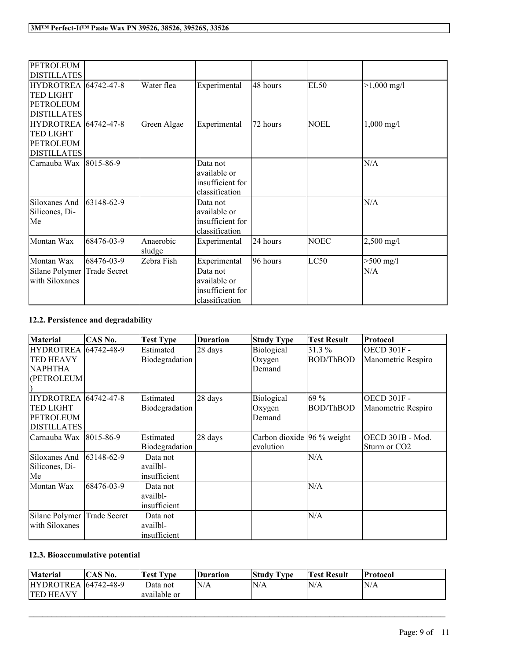| <b>PETROLEUM</b>            |                     |             |                  |          |             |                      |
|-----------------------------|---------------------|-------------|------------------|----------|-------------|----------------------|
| <b>DISTILLATES</b>          |                     |             |                  |          |             |                      |
| <b>HYDROTREA</b> 64742-47-8 |                     | Water flea  | Experimental     | 48 hours | <b>EL50</b> | $>1,000$ mg/l        |
| <b>TED LIGHT</b>            |                     |             |                  |          |             |                      |
| <b>PETROLEUM</b>            |                     |             |                  |          |             |                      |
| <b>DISTILLATES</b>          |                     |             |                  |          |             |                      |
| <b>HYDROTREA</b> 64742-47-8 |                     | Green Algae | Experimental     | 72 hours | <b>NOEL</b> | $1,000 \text{ mg}/1$ |
| <b>TED LIGHT</b>            |                     |             |                  |          |             |                      |
| <b>PETROLEUM</b>            |                     |             |                  |          |             |                      |
| <b>DISTILLATES</b>          |                     |             |                  |          |             |                      |
| Carnauba Wax 8015-86-9      |                     |             | Data not         |          |             | N/A                  |
|                             |                     |             | available or     |          |             |                      |
|                             |                     |             | insufficient for |          |             |                      |
|                             |                     |             | classification   |          |             |                      |
| Siloxanes And               | 63148-62-9          |             | Data not         |          |             | N/A                  |
| Silicones, Di-              |                     |             | available or     |          |             |                      |
| Me                          |                     |             | insufficient for |          |             |                      |
|                             |                     |             | classification   |          |             |                      |
| Montan Wax                  | 68476-03-9          | Anaerobic   | Experimental     | 24 hours | <b>NOEC</b> | $2,500$ mg/l         |
|                             |                     | sludge      |                  |          |             |                      |
| Montan Wax                  | 68476-03-9          | Zebra Fish  | Experimental     | 96 hours | LC50        | $>500$ mg/l          |
| Silane Polymer              | <b>Trade Secret</b> |             | Data not         |          |             | N/A                  |
| with Siloxanes              |                     |             | available or     |          |             |                      |
|                             |                     |             | insufficient for |          |             |                      |
|                             |                     |             | classification   |          |             |                      |

# **12.2. Persistence and degradability**

| <b>Material</b>             | CAS No.             | <b>Test Type</b> | <b>Duration</b> | <b>Study Type</b>             | <b>Test Result</b> | Protocol                 |
|-----------------------------|---------------------|------------------|-----------------|-------------------------------|--------------------|--------------------------|
| <b>HYDROTREA</b> 64742-48-9 |                     | Estimated        | 28 days         | Biological                    | 31.3%              | <b>OECD 301F -</b>       |
| TED HEAVY                   |                     | Biodegradation   |                 | Oxygen                        | <b>BOD/ThBOD</b>   | Manometric Respiro       |
| <b>NAPHTHA</b>              |                     |                  |                 | Demand                        |                    |                          |
| (PETROLEUM)                 |                     |                  |                 |                               |                    |                          |
|                             |                     |                  |                 |                               |                    |                          |
| <b>HYDROTREA</b> 64742-47-8 |                     | Estimated        | 28 days         | Biological                    | 69 %               | <b>OECD 301F -</b>       |
| <b>TED LIGHT</b>            |                     | Biodegradation   |                 | Oxygen                        | <b>BOD/ThBOD</b>   | Manometric Respiro       |
| <b>PETROLEUM</b>            |                     |                  |                 | Demand                        |                    |                          |
| <b>DISTILLATES</b>          |                     |                  |                 |                               |                    |                          |
| Carnauba Wax 8015-86-9      |                     | Estimated        | 28 days         | Carbon dioxide $ 96\%$ weight |                    | OECD 301B - Mod.         |
|                             |                     | Biodegradation   |                 | evolution                     |                    | Sturm or CO <sub>2</sub> |
| Siloxanes And               | 63148-62-9          | Data not         |                 |                               | N/A                |                          |
| Silicones, Di-              |                     | availbl-         |                 |                               |                    |                          |
| Me                          |                     | insufficient     |                 |                               |                    |                          |
| Montan Wax                  | 68476-03-9          | Data not         |                 |                               | N/A                |                          |
|                             |                     | availbl-         |                 |                               |                    |                          |
|                             |                     | insufficient     |                 |                               |                    |                          |
| Silane Polymer              | <b>Trade Secret</b> | Data not         |                 |                               | N/A                |                          |
| with Siloxanes              |                     | availbl-         |                 |                               |                    |                          |
|                             |                     | insufficient     |                 |                               |                    |                          |

# **12.3. Bioaccumulative potential**

| <b>Material</b>              | <b>CAS No.</b> | Test Type     | Duration | <b>Study Type</b> | <b>Test Result</b> | <b>Protocol</b> |
|------------------------------|----------------|---------------|----------|-------------------|--------------------|-----------------|
| <b>HYDROTREA</b> 164742-48-9 |                | Data not      | N/A      | N/A               | N/A                | N/A             |
| <b>TED HEAVY</b>             |                | lavailable or |          |                   |                    |                 |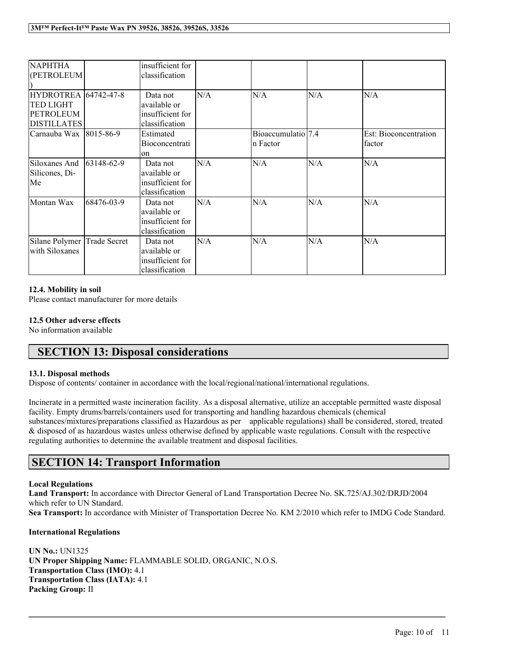| <b>NAPHTHA</b><br>(PETROLEUM                                                       |                | insufficient for<br>classification                             |     |                                |     |                                        |
|------------------------------------------------------------------------------------|----------------|----------------------------------------------------------------|-----|--------------------------------|-----|----------------------------------------|
| <b>HYDROTREA 64742-47-8</b><br>TED LIGHT<br><b>PETROLEUM</b><br><b>DISTILLATES</b> |                | Data not<br>available or<br>insufficient for<br>classification | N/A | N/A                            | N/A | N/A                                    |
| Carnauba Wax                                                                       | 8015-86-9      | Estimated<br><b>Bioconcentrati</b><br>lon.                     |     | Bioaccumulatio 7.4<br>n Factor |     | Est: Bioconcentration<br><i>factor</i> |
| Siloxanes And<br>Silicones, Di-<br>Me                                              | $ 63148-62-9 $ | Data not<br>available or<br>insufficient for<br>classification | N/A | N/A                            | N/A | N/A                                    |
| Montan Wax                                                                         | 68476-03-9     | Data not<br>available or<br>insufficient for<br>classification | N/A | N/A                            | N/A | N/A                                    |
| Silane Polymer<br>with Siloxanes                                                   | Trade Secret   | Data not<br>available or<br>insufficient for<br>classification | N/A | N/A                            | N/A | N/A                                    |

### **12.4. Mobility in soil**

Please contact manufacturer for more details

# **12.5 Other adverse effects**

No information available

# **SECTION 13: Disposal considerations**

# **13.1. Disposal methods**

Dispose of contents/ container in accordance with the local/regional/national/international regulations.

Incinerate in a permitted waste incineration facility. As a disposal alternative, utilize an acceptable permitted waste disposal facility. Empty drums/barrels/containers used for transporting and handling hazardous chemicals (chemical substances/mixtures/preparations classified as Hazardous as per applicable regulations) shall be considered, stored, treated & disposed of as hazardous wastes unless otherwise defined by applicable waste regulations. Consult with the respective regulating authorities to determine the available treatment and disposal facilities.

# **SECTION 14: Transport Information**

#### **Local Regulations**

**Land Transport:** In accordance with Director General of Land Transportation Decree No. SK.725/AJ.302/DRJD/2004 which refer to UN Standard.

**Sea Transport:** In accordance with Minister of Transportation Decree No. KM 2/2010 which refer to IMDG Code Standard.

 $\mathcal{L}_\mathcal{L} = \mathcal{L}_\mathcal{L} = \mathcal{L}_\mathcal{L} = \mathcal{L}_\mathcal{L} = \mathcal{L}_\mathcal{L} = \mathcal{L}_\mathcal{L} = \mathcal{L}_\mathcal{L} = \mathcal{L}_\mathcal{L} = \mathcal{L}_\mathcal{L} = \mathcal{L}_\mathcal{L} = \mathcal{L}_\mathcal{L} = \mathcal{L}_\mathcal{L} = \mathcal{L}_\mathcal{L} = \mathcal{L}_\mathcal{L} = \mathcal{L}_\mathcal{L} = \mathcal{L}_\mathcal{L} = \mathcal{L}_\mathcal{L}$ 

# **International Regulations**

**UN No.:** UN1325 **UN Proper Shipping Name:** FLAMMABLE SOLID, ORGANIC, N.O.S. **Transportation Class (IMO):** 4.1 **Transportation Class (IATA):** 4.1 **Packing Group:** II